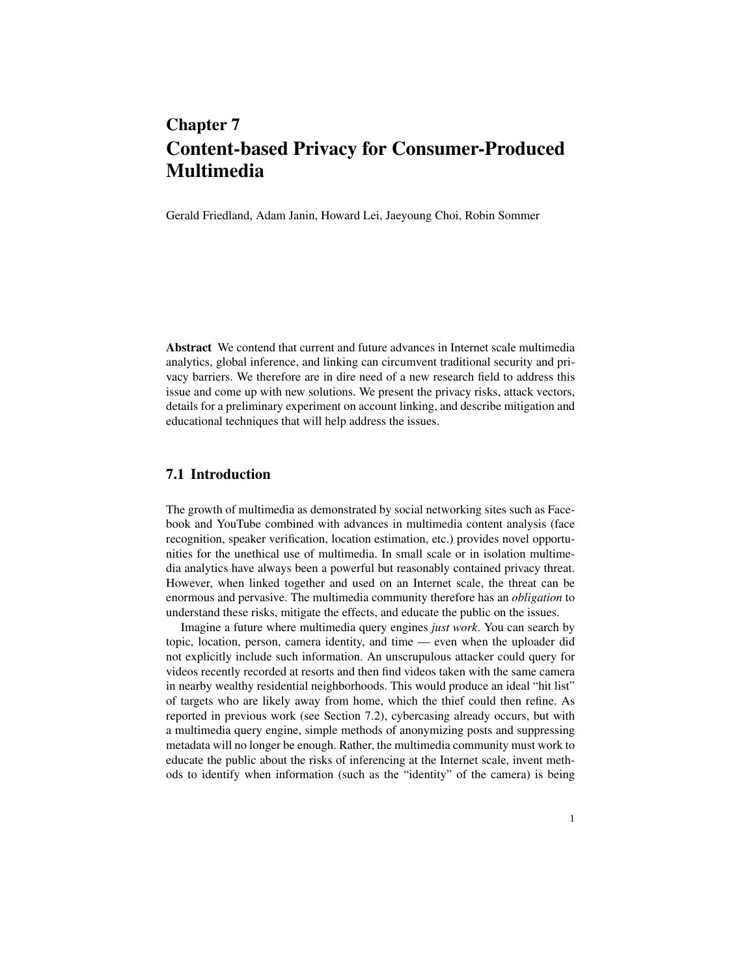Gerald Friedland, Adam Janin, Howard Lei, Jaeyoung Choi, Robin Sommer

Abstract We contend that current and future advances in Internet scale multimedia analytics, global inference, and linking can circumvent traditional security and privacy barriers. We therefore are in dire need of a new research field to address this issue and come up with new solutions. We present the privacy risks, attack vectors, details for a preliminary experiment on account linking, and describe mitigation and educational techniques that will help address the issues.

# 7.1 Introduction

The growth of multimedia as demonstrated by social networking sites such as Facebook and YouTube combined with advances in multimedia content analysis (face recognition, speaker verification, location estimation, etc.) provides novel opportunities for the unethical use of multimedia. In small scale or in isolation multimedia analytics have always been a powerful but reasonably contained privacy threat. However, when linked together and used on an Internet scale, the threat can be enormous and pervasive. The multimedia community therefore has an *obligation* to understand these risks, mitigate the effects, and educate the public on the issues.

Imagine a future where multimedia query engines *just work*. You can search by topic, location, person, camera identity, and time — even when the uploader did not explicitly include such information. An unscrupulous attacker could query for videos recently recorded at resorts and then find videos taken with the same camera in nearby wealthy residential neighborhoods. This would produce an ideal "hit list" of targets who are likely away from home, which the thief could then refine. As reported in previous work (see Section 7.2), cybercasing already occurs, but with a multimedia query engine, simple methods of anonymizing posts and suppressing metadata will no longer be enough. Rather, the multimedia community must work to educate the public about the risks of inferencing at the Internet scale, invent methods to identify when information (such as the "identity" of the camera) is being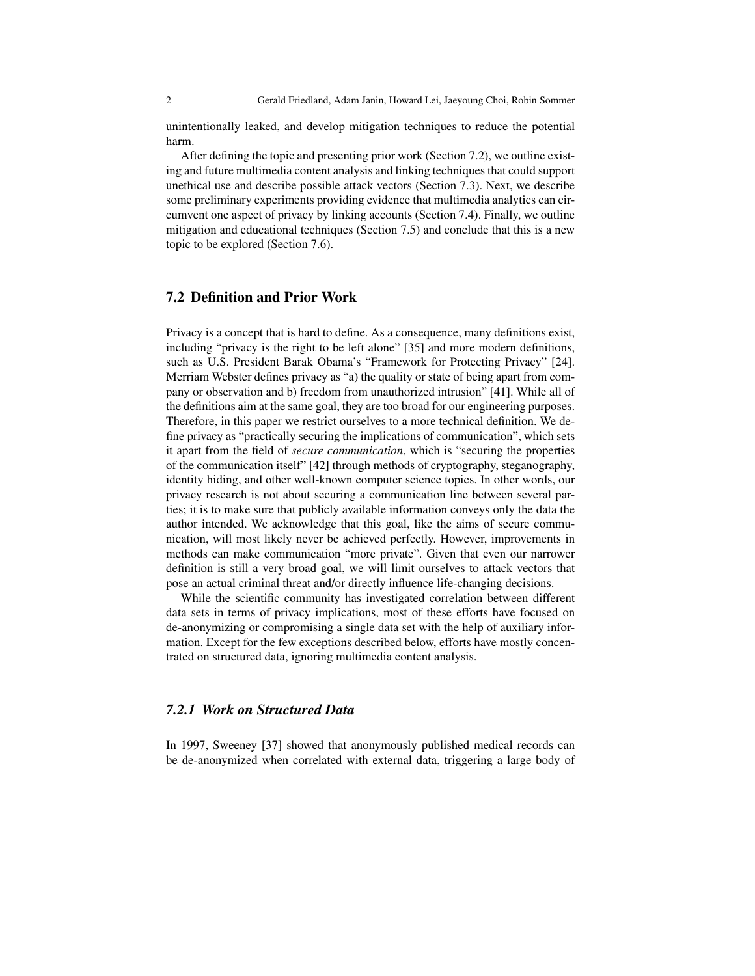unintentionally leaked, and develop mitigation techniques to reduce the potential harm.

After defining the topic and presenting prior work (Section 7.2), we outline existing and future multimedia content analysis and linking techniques that could support unethical use and describe possible attack vectors (Section 7.3). Next, we describe some preliminary experiments providing evidence that multimedia analytics can circumvent one aspect of privacy by linking accounts (Section 7.4). Finally, we outline mitigation and educational techniques (Section 7.5) and conclude that this is a new topic to be explored (Section 7.6).

## 7.2 Definition and Prior Work

Privacy is a concept that is hard to define. As a consequence, many definitions exist, including "privacy is the right to be left alone" [35] and more modern definitions, such as U.S. President Barak Obama's "Framework for Protecting Privacy" [24]. Merriam Webster defines privacy as "a) the quality or state of being apart from company or observation and b) freedom from unauthorized intrusion" [41]. While all of the definitions aim at the same goal, they are too broad for our engineering purposes. Therefore, in this paper we restrict ourselves to a more technical definition. We define privacy as "practically securing the implications of communication", which sets it apart from the field of *secure communication*, which is "securing the properties of the communication itself" [42] through methods of cryptography, steganography, identity hiding, and other well-known computer science topics. In other words, our privacy research is not about securing a communication line between several parties; it is to make sure that publicly available information conveys only the data the author intended. We acknowledge that this goal, like the aims of secure communication, will most likely never be achieved perfectly. However, improvements in methods can make communication "more private". Given that even our narrower definition is still a very broad goal, we will limit ourselves to attack vectors that pose an actual criminal threat and/or directly influence life-changing decisions.

While the scientific community has investigated correlation between different data sets in terms of privacy implications, most of these efforts have focused on de-anonymizing or compromising a single data set with the help of auxiliary information. Except for the few exceptions described below, efforts have mostly concentrated on structured data, ignoring multimedia content analysis.

#### *7.2.1 Work on Structured Data*

In 1997, Sweeney [37] showed that anonymously published medical records can be de-anonymized when correlated with external data, triggering a large body of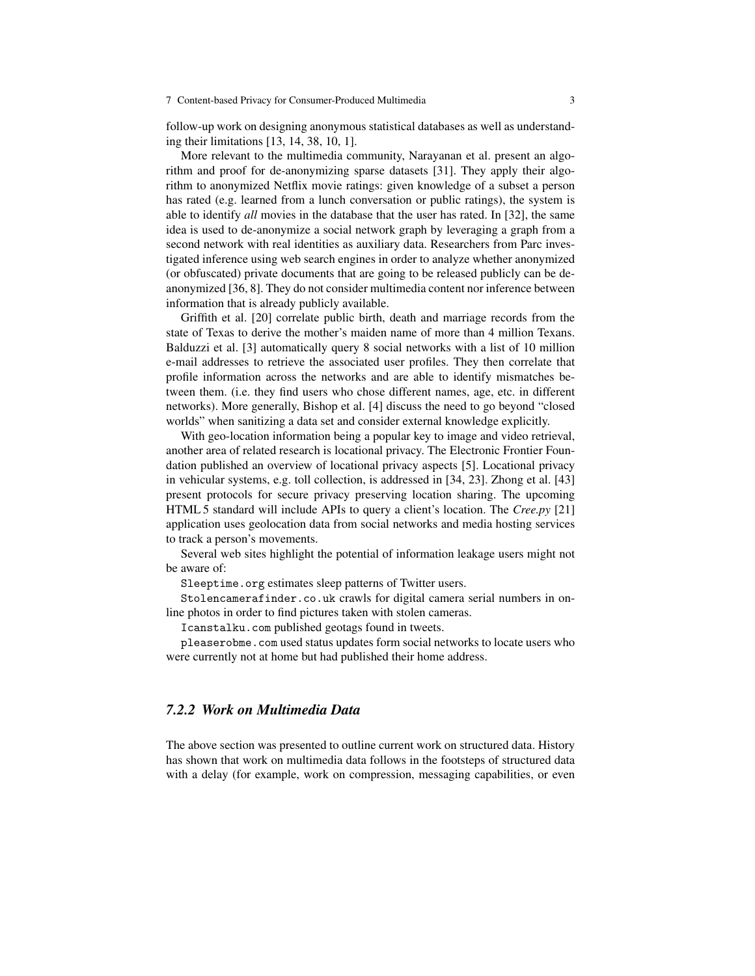follow-up work on designing anonymous statistical databases as well as understanding their limitations [13, 14, 38, 10, 1].

More relevant to the multimedia community, Narayanan et al. present an algorithm and proof for de-anonymizing sparse datasets [31]. They apply their algorithm to anonymized Netflix movie ratings: given knowledge of a subset a person has rated (e.g. learned from a lunch conversation or public ratings), the system is able to identify *all* movies in the database that the user has rated. In [32], the same idea is used to de-anonymize a social network graph by leveraging a graph from a second network with real identities as auxiliary data. Researchers from Parc investigated inference using web search engines in order to analyze whether anonymized (or obfuscated) private documents that are going to be released publicly can be deanonymized [36, 8]. They do not consider multimedia content nor inference between information that is already publicly available.

Griffith et al. [20] correlate public birth, death and marriage records from the state of Texas to derive the mother's maiden name of more than 4 million Texans. Balduzzi et al. [3] automatically query 8 social networks with a list of 10 million e-mail addresses to retrieve the associated user profiles. They then correlate that profile information across the networks and are able to identify mismatches between them. (i.e. they find users who chose different names, age, etc. in different networks). More generally, Bishop et al. [4] discuss the need to go beyond "closed worlds" when sanitizing a data set and consider external knowledge explicitly.

With geo-location information being a popular key to image and video retrieval, another area of related research is locational privacy. The Electronic Frontier Foundation published an overview of locational privacy aspects [5]. Locational privacy in vehicular systems, e.g. toll collection, is addressed in [34, 23]. Zhong et al. [43] present protocols for secure privacy preserving location sharing. The upcoming HTML 5 standard will include APIs to query a client's location. The *Cree.py* [21] application uses geolocation data from social networks and media hosting services to track a person's movements.

Several web sites highlight the potential of information leakage users might not be aware of:

Sleeptime.org estimates sleep patterns of Twitter users.

Stolencamerafinder.co.uk crawls for digital camera serial numbers in online photos in order to find pictures taken with stolen cameras.

Icanstalku.com published geotags found in tweets.

pleaserobme.com used status updates form social networks to locate users who were currently not at home but had published their home address.

## *7.2.2 Work on Multimedia Data*

The above section was presented to outline current work on structured data. History has shown that work on multimedia data follows in the footsteps of structured data with a delay (for example, work on compression, messaging capabilities, or even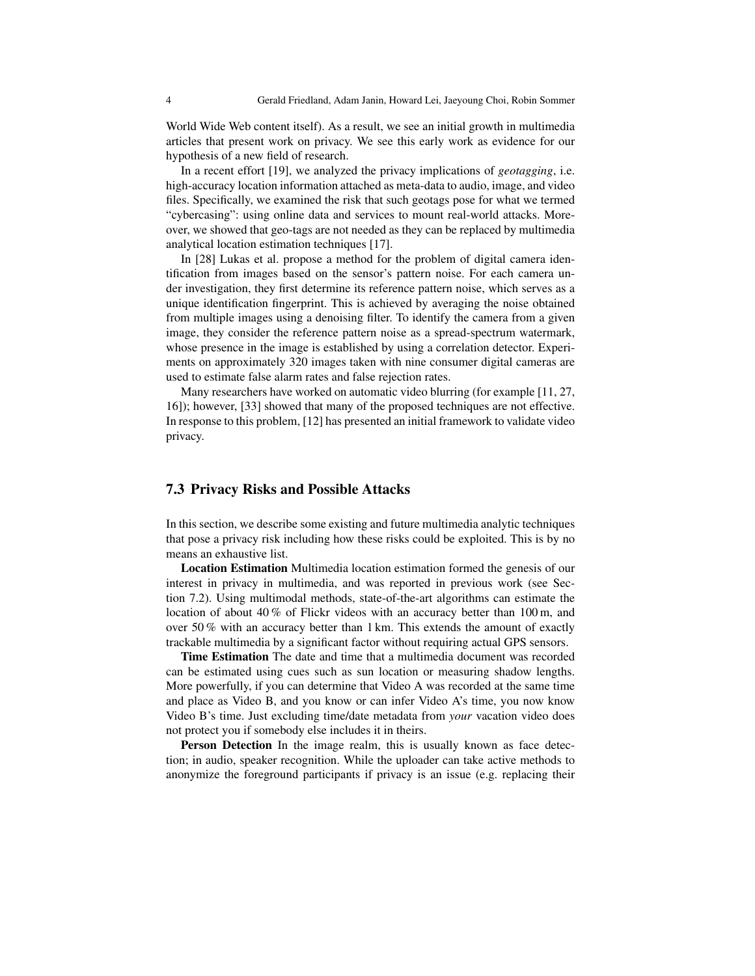World Wide Web content itself). As a result, we see an initial growth in multimedia articles that present work on privacy. We see this early work as evidence for our hypothesis of a new field of research.

In a recent effort [19], we analyzed the privacy implications of *geotagging*, i.e. high-accuracy location information attached as meta-data to audio, image, and video files. Specifically, we examined the risk that such geotags pose for what we termed "cybercasing": using online data and services to mount real-world attacks. Moreover, we showed that geo-tags are not needed as they can be replaced by multimedia analytical location estimation techniques [17].

In [28] Lukas et al. propose a method for the problem of digital camera identification from images based on the sensor's pattern noise. For each camera under investigation, they first determine its reference pattern noise, which serves as a unique identification fingerprint. This is achieved by averaging the noise obtained from multiple images using a denoising filter. To identify the camera from a given image, they consider the reference pattern noise as a spread-spectrum watermark, whose presence in the image is established by using a correlation detector. Experiments on approximately 320 images taken with nine consumer digital cameras are used to estimate false alarm rates and false rejection rates.

Many researchers have worked on automatic video blurring (for example [11, 27, 16]); however, [33] showed that many of the proposed techniques are not effective. In response to this problem, [12] has presented an initial framework to validate video privacy.

## 7.3 Privacy Risks and Possible Attacks

In this section, we describe some existing and future multimedia analytic techniques that pose a privacy risk including how these risks could be exploited. This is by no means an exhaustive list.

Location Estimation Multimedia location estimation formed the genesis of our interest in privacy in multimedia, and was reported in previous work (see Section 7.2). Using multimodal methods, state-of-the-art algorithms can estimate the location of about 40 % of Flickr videos with an accuracy better than 100 m, and over 50 % with an accuracy better than 1 km. This extends the amount of exactly trackable multimedia by a significant factor without requiring actual GPS sensors.

Time Estimation The date and time that a multimedia document was recorded can be estimated using cues such as sun location or measuring shadow lengths. More powerfully, if you can determine that Video A was recorded at the same time and place as Video B, and you know or can infer Video A's time, you now know Video B's time. Just excluding time/date metadata from *your* vacation video does not protect you if somebody else includes it in theirs.

Person Detection In the image realm, this is usually known as face detection; in audio, speaker recognition. While the uploader can take active methods to anonymize the foreground participants if privacy is an issue (e.g. replacing their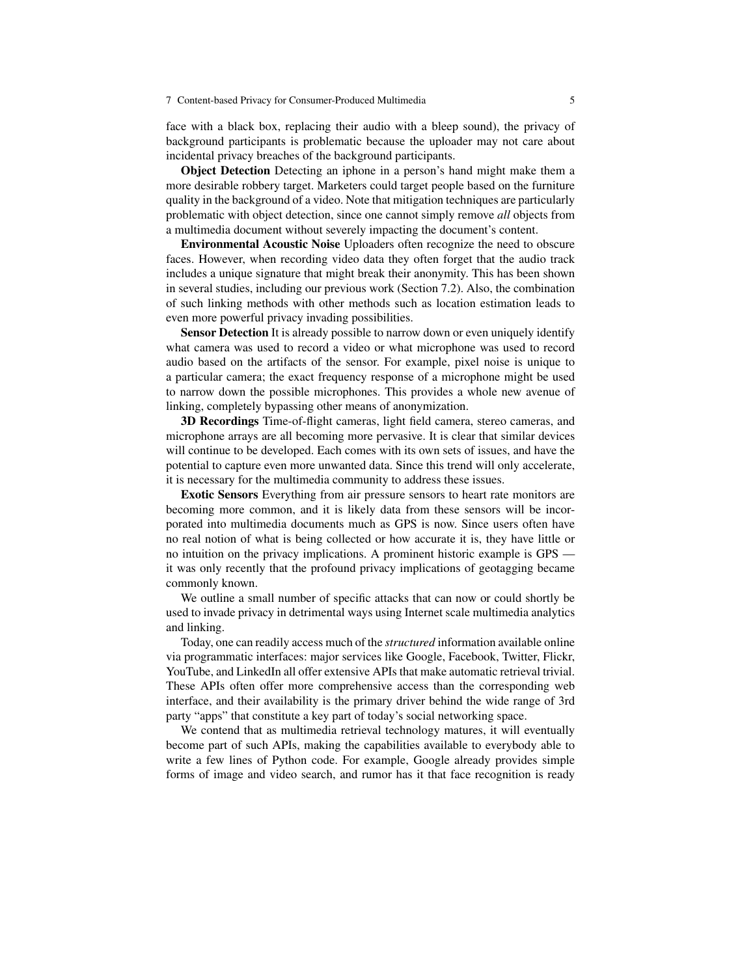face with a black box, replacing their audio with a bleep sound), the privacy of background participants is problematic because the uploader may not care about incidental privacy breaches of the background participants.

Object Detection Detecting an iphone in a person's hand might make them a more desirable robbery target. Marketers could target people based on the furniture quality in the background of a video. Note that mitigation techniques are particularly problematic with object detection, since one cannot simply remove *all* objects from a multimedia document without severely impacting the document's content.

Environmental Acoustic Noise Uploaders often recognize the need to obscure faces. However, when recording video data they often forget that the audio track includes a unique signature that might break their anonymity. This has been shown in several studies, including our previous work (Section 7.2). Also, the combination of such linking methods with other methods such as location estimation leads to even more powerful privacy invading possibilities.

Sensor Detection It is already possible to narrow down or even uniquely identify what camera was used to record a video or what microphone was used to record audio based on the artifacts of the sensor. For example, pixel noise is unique to a particular camera; the exact frequency response of a microphone might be used to narrow down the possible microphones. This provides a whole new avenue of linking, completely bypassing other means of anonymization.

3D Recordings Time-of-flight cameras, light field camera, stereo cameras, and microphone arrays are all becoming more pervasive. It is clear that similar devices will continue to be developed. Each comes with its own sets of issues, and have the potential to capture even more unwanted data. Since this trend will only accelerate, it is necessary for the multimedia community to address these issues.

Exotic Sensors Everything from air pressure sensors to heart rate monitors are becoming more common, and it is likely data from these sensors will be incorporated into multimedia documents much as GPS is now. Since users often have no real notion of what is being collected or how accurate it is, they have little or no intuition on the privacy implications. A prominent historic example is GPS it was only recently that the profound privacy implications of geotagging became commonly known.

We outline a small number of specific attacks that can now or could shortly be used to invade privacy in detrimental ways using Internet scale multimedia analytics and linking.

Today, one can readily access much of the *structured* information available online via programmatic interfaces: major services like Google, Facebook, Twitter, Flickr, YouTube, and LinkedIn all offer extensive APIs that make automatic retrieval trivial. These APIs often offer more comprehensive access than the corresponding web interface, and their availability is the primary driver behind the wide range of 3rd party "apps" that constitute a key part of today's social networking space.

We contend that as multimedia retrieval technology matures, it will eventually become part of such APIs, making the capabilities available to everybody able to write a few lines of Python code. For example, Google already provides simple forms of image and video search, and rumor has it that face recognition is ready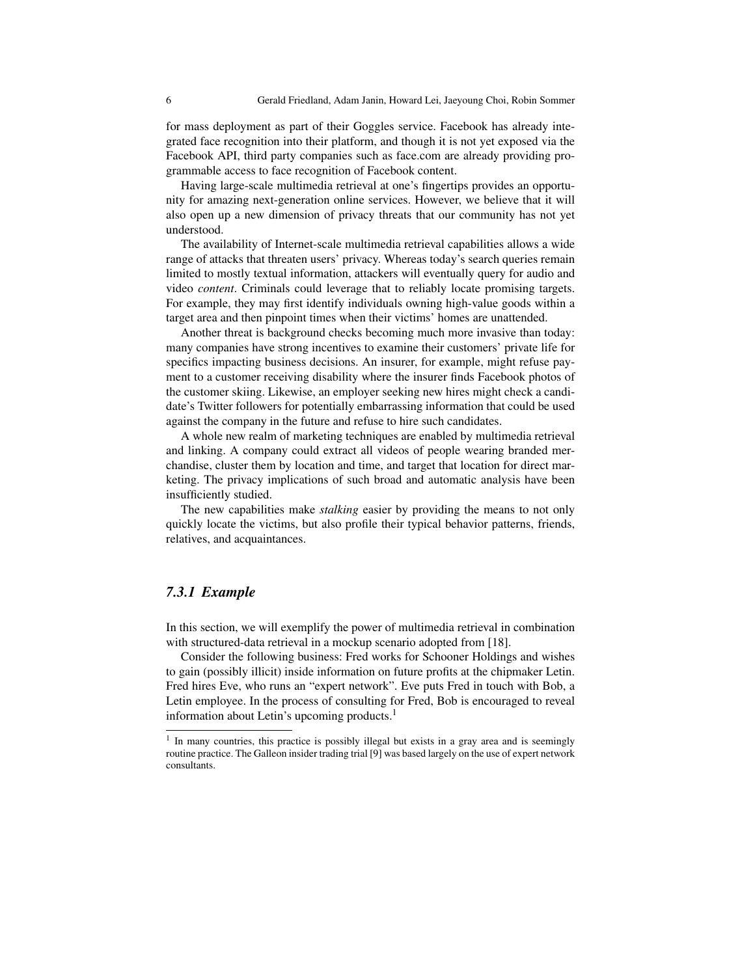for mass deployment as part of their Goggles service. Facebook has already integrated face recognition into their platform, and though it is not yet exposed via the Facebook API, third party companies such as face.com are already providing programmable access to face recognition of Facebook content.

Having large-scale multimedia retrieval at one's fingertips provides an opportunity for amazing next-generation online services. However, we believe that it will also open up a new dimension of privacy threats that our community has not yet understood.

The availability of Internet-scale multimedia retrieval capabilities allows a wide range of attacks that threaten users' privacy. Whereas today's search queries remain limited to mostly textual information, attackers will eventually query for audio and video *content*. Criminals could leverage that to reliably locate promising targets. For example, they may first identify individuals owning high-value goods within a target area and then pinpoint times when their victims' homes are unattended.

Another threat is background checks becoming much more invasive than today: many companies have strong incentives to examine their customers' private life for specifics impacting business decisions. An insurer, for example, might refuse payment to a customer receiving disability where the insurer finds Facebook photos of the customer skiing. Likewise, an employer seeking new hires might check a candidate's Twitter followers for potentially embarrassing information that could be used against the company in the future and refuse to hire such candidates.

A whole new realm of marketing techniques are enabled by multimedia retrieval and linking. A company could extract all videos of people wearing branded merchandise, cluster them by location and time, and target that location for direct marketing. The privacy implications of such broad and automatic analysis have been insufficiently studied.

The new capabilities make *stalking* easier by providing the means to not only quickly locate the victims, but also profile their typical behavior patterns, friends, relatives, and acquaintances.

## *7.3.1 Example*

In this section, we will exemplify the power of multimedia retrieval in combination with structured-data retrieval in a mockup scenario adopted from [18].

Consider the following business: Fred works for Schooner Holdings and wishes to gain (possibly illicit) inside information on future profits at the chipmaker Letin. Fred hires Eve, who runs an "expert network". Eve puts Fred in touch with Bob, a Letin employee. In the process of consulting for Fred, Bob is encouraged to reveal information about Letin's upcoming products.<sup>1</sup>

<sup>&</sup>lt;sup>1</sup> In many countries, this practice is possibly illegal but exists in a gray area and is seemingly routine practice. The Galleon insider trading trial [9] was based largely on the use of expert network consultants.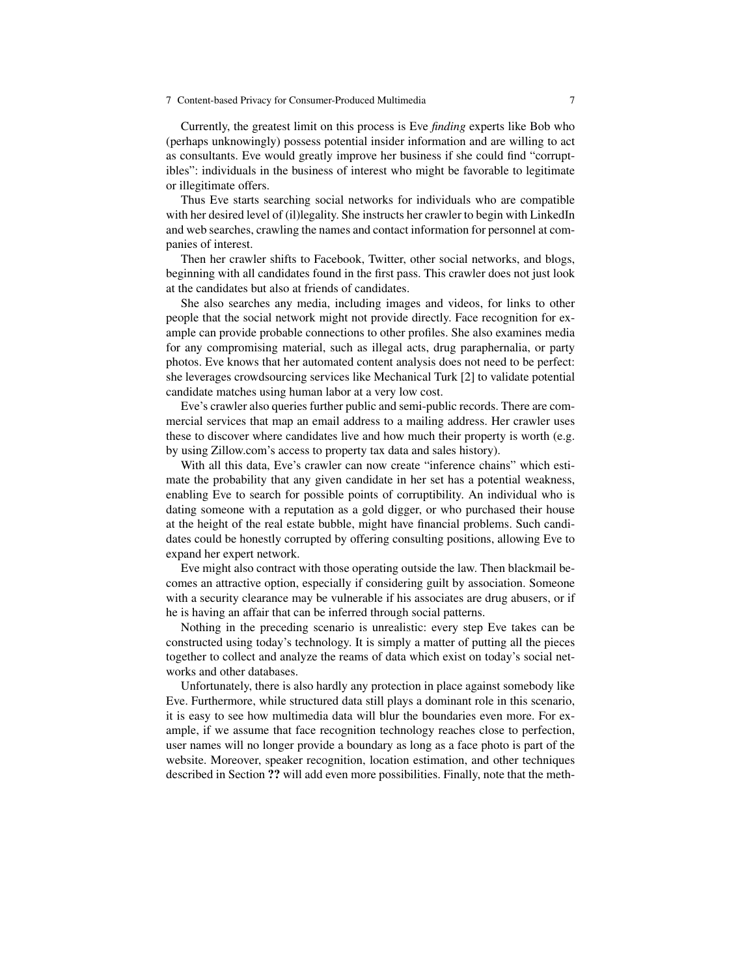Currently, the greatest limit on this process is Eve *finding* experts like Bob who (perhaps unknowingly) possess potential insider information and are willing to act as consultants. Eve would greatly improve her business if she could find "corruptibles": individuals in the business of interest who might be favorable to legitimate or illegitimate offers.

Thus Eve starts searching social networks for individuals who are compatible with her desired level of (il)legality. She instructs her crawler to begin with LinkedIn and web searches, crawling the names and contact information for personnel at companies of interest.

Then her crawler shifts to Facebook, Twitter, other social networks, and blogs, beginning with all candidates found in the first pass. This crawler does not just look at the candidates but also at friends of candidates.

She also searches any media, including images and videos, for links to other people that the social network might not provide directly. Face recognition for example can provide probable connections to other profiles. She also examines media for any compromising material, such as illegal acts, drug paraphernalia, or party photos. Eve knows that her automated content analysis does not need to be perfect: she leverages crowdsourcing services like Mechanical Turk [2] to validate potential candidate matches using human labor at a very low cost.

Eve's crawler also queries further public and semi-public records. There are commercial services that map an email address to a mailing address. Her crawler uses these to discover where candidates live and how much their property is worth (e.g. by using Zillow.com's access to property tax data and sales history).

With all this data, Eve's crawler can now create "inference chains" which estimate the probability that any given candidate in her set has a potential weakness, enabling Eve to search for possible points of corruptibility. An individual who is dating someone with a reputation as a gold digger, or who purchased their house at the height of the real estate bubble, might have financial problems. Such candidates could be honestly corrupted by offering consulting positions, allowing Eve to expand her expert network.

Eve might also contract with those operating outside the law. Then blackmail becomes an attractive option, especially if considering guilt by association. Someone with a security clearance may be vulnerable if his associates are drug abusers, or if he is having an affair that can be inferred through social patterns.

Nothing in the preceding scenario is unrealistic: every step Eve takes can be constructed using today's technology. It is simply a matter of putting all the pieces together to collect and analyze the reams of data which exist on today's social networks and other databases.

Unfortunately, there is also hardly any protection in place against somebody like Eve. Furthermore, while structured data still plays a dominant role in this scenario, it is easy to see how multimedia data will blur the boundaries even more. For example, if we assume that face recognition technology reaches close to perfection, user names will no longer provide a boundary as long as a face photo is part of the website. Moreover, speaker recognition, location estimation, and other techniques described in Section ?? will add even more possibilities. Finally, note that the meth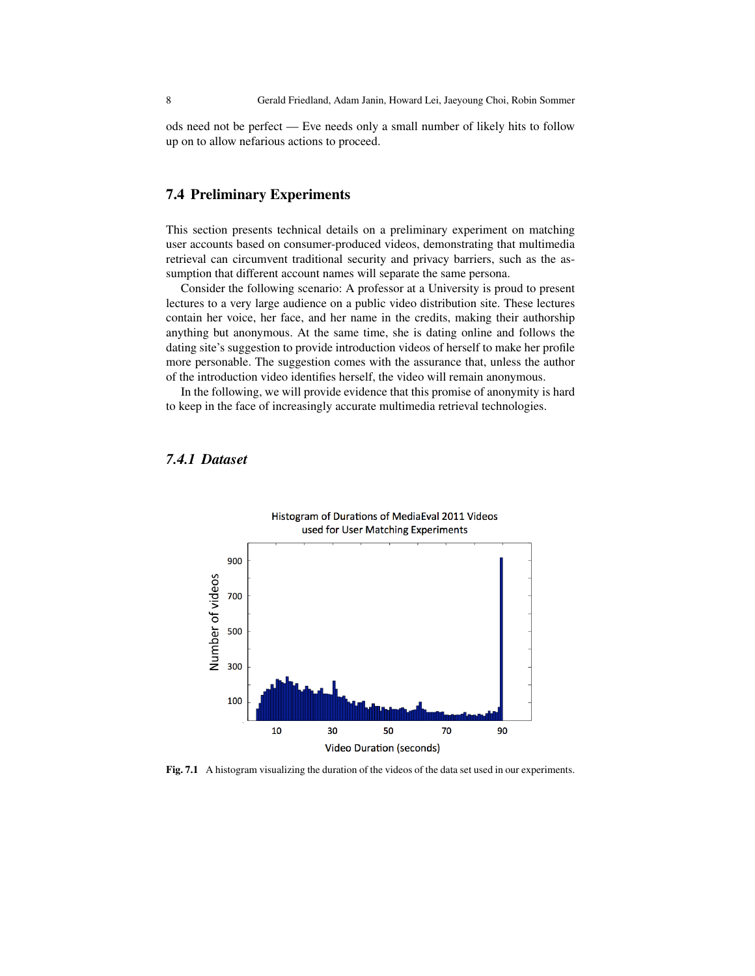ods need not be perfect — Eve needs only a small number of likely hits to follow up on to allow nefarious actions to proceed.

## 7.4 Preliminary Experiments

This section presents technical details on a preliminary experiment on matching user accounts based on consumer-produced videos, demonstrating that multimedia retrieval can circumvent traditional security and privacy barriers, such as the assumption that different account names will separate the same persona.

Consider the following scenario: A professor at a University is proud to present lectures to a very large audience on a public video distribution site. These lectures contain her voice, her face, and her name in the credits, making their authorship anything but anonymous. At the same time, she is dating online and follows the dating site's suggestion to provide introduction videos of herself to make her profile more personable. The suggestion comes with the assurance that, unless the author of the introduction video identifies herself, the video will remain anonymous.

In the following, we will provide evidence that this promise of anonymity is hard to keep in the face of increasingly accurate multimedia retrieval technologies.





Fig. 7.1 A histogram visualizing the duration of the videos of the data set used in our experiments.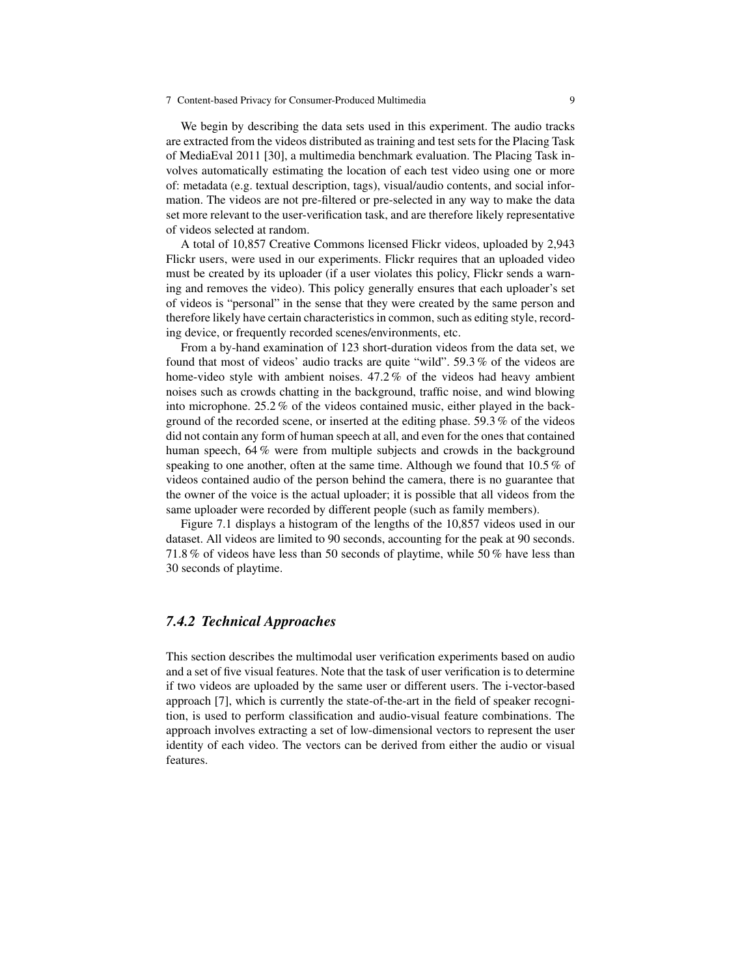We begin by describing the data sets used in this experiment. The audio tracks are extracted from the videos distributed as training and test sets for the Placing Task of MediaEval 2011 [30], a multimedia benchmark evaluation. The Placing Task involves automatically estimating the location of each test video using one or more of: metadata (e.g. textual description, tags), visual/audio contents, and social information. The videos are not pre-filtered or pre-selected in any way to make the data set more relevant to the user-verification task, and are therefore likely representative of videos selected at random.

A total of 10,857 Creative Commons licensed Flickr videos, uploaded by 2,943 Flickr users, were used in our experiments. Flickr requires that an uploaded video must be created by its uploader (if a user violates this policy, Flickr sends a warning and removes the video). This policy generally ensures that each uploader's set of videos is "personal" in the sense that they were created by the same person and therefore likely have certain characteristics in common, such as editing style, recording device, or frequently recorded scenes/environments, etc.

From a by-hand examination of 123 short-duration videos from the data set, we found that most of videos' audio tracks are quite "wild". 59.3 % of the videos are home-video style with ambient noises. 47.2% of the videos had heavy ambient noises such as crowds chatting in the background, traffic noise, and wind blowing into microphone. 25.2 % of the videos contained music, either played in the background of the recorded scene, or inserted at the editing phase. 59.3 % of the videos did not contain any form of human speech at all, and even for the ones that contained human speech, 64 % were from multiple subjects and crowds in the background speaking to one another, often at the same time. Although we found that 10.5 % of videos contained audio of the person behind the camera, there is no guarantee that the owner of the voice is the actual uploader; it is possible that all videos from the same uploader were recorded by different people (such as family members).

Figure 7.1 displays a histogram of the lengths of the 10,857 videos used in our dataset. All videos are limited to 90 seconds, accounting for the peak at 90 seconds. 71.8 % of videos have less than 50 seconds of playtime, while 50 % have less than 30 seconds of playtime.

## *7.4.2 Technical Approaches*

This section describes the multimodal user verification experiments based on audio and a set of five visual features. Note that the task of user verification is to determine if two videos are uploaded by the same user or different users. The i-vector-based approach [7], which is currently the state-of-the-art in the field of speaker recognition, is used to perform classification and audio-visual feature combinations. The approach involves extracting a set of low-dimensional vectors to represent the user identity of each video. The vectors can be derived from either the audio or visual features.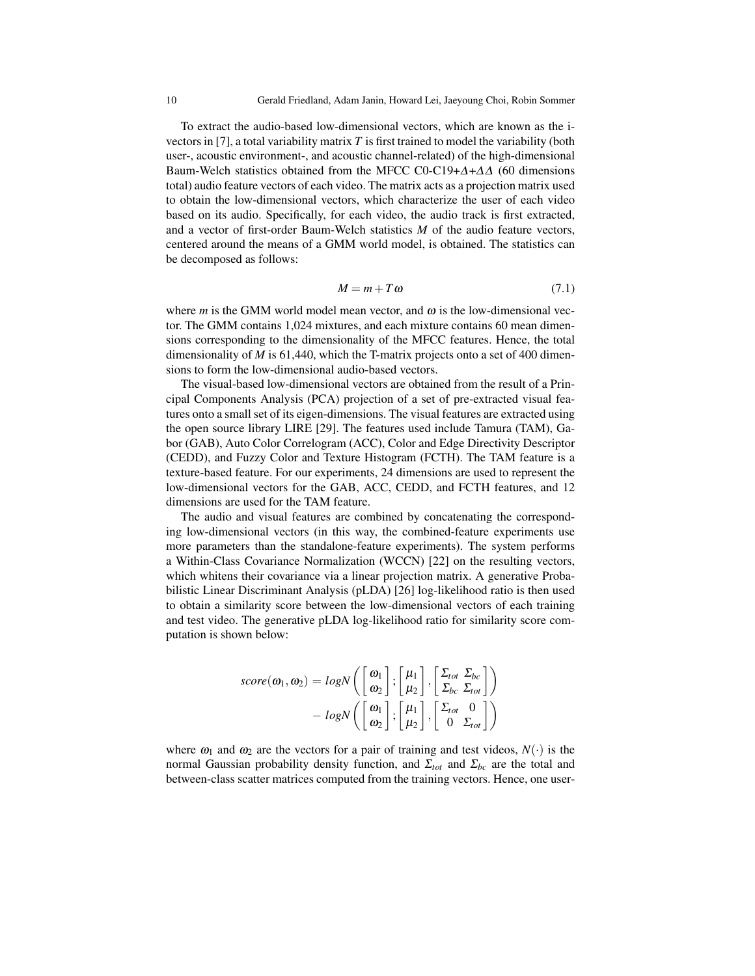To extract the audio-based low-dimensional vectors, which are known as the ivectors in [7], a total variability matrix *T* is first trained to model the variability (both user-, acoustic environment-, and acoustic channel-related) of the high-dimensional Baum-Welch statistics obtained from the MFCC C0-C19+ $\Delta$ + $\Delta$  (60 dimensions total) audio feature vectors of each video. The matrix acts as a projection matrix used to obtain the low-dimensional vectors, which characterize the user of each video based on its audio. Specifically, for each video, the audio track is first extracted, and a vector of first-order Baum-Welch statistics *M* of the audio feature vectors, centered around the means of a GMM world model, is obtained. The statistics can be decomposed as follows:

$$
M = m + T\omega \tag{7.1}
$$

where *m* is the GMM world model mean vector, and  $\omega$  is the low-dimensional vector. The GMM contains 1,024 mixtures, and each mixture contains 60 mean dimensions corresponding to the dimensionality of the MFCC features. Hence, the total dimensionality of *M* is 61,440, which the T-matrix projects onto a set of 400 dimensions to form the low-dimensional audio-based vectors.

The visual-based low-dimensional vectors are obtained from the result of a Principal Components Analysis (PCA) projection of a set of pre-extracted visual features onto a small set of its eigen-dimensions. The visual features are extracted using the open source library LIRE [29]. The features used include Tamura (TAM), Gabor (GAB), Auto Color Correlogram (ACC), Color and Edge Directivity Descriptor (CEDD), and Fuzzy Color and Texture Histogram (FCTH). The TAM feature is a texture-based feature. For our experiments, 24 dimensions are used to represent the low-dimensional vectors for the GAB, ACC, CEDD, and FCTH features, and 12 dimensions are used for the TAM feature.

The audio and visual features are combined by concatenating the corresponding low-dimensional vectors (in this way, the combined-feature experiments use more parameters than the standalone-feature experiments). The system performs a Within-Class Covariance Normalization (WCCN) [22] on the resulting vectors, which whitens their covariance via a linear projection matrix. A generative Probabilistic Linear Discriminant Analysis (pLDA) [26] log-likelihood ratio is then used to obtain a similarity score between the low-dimensional vectors of each training and test video. The generative pLDA log-likelihood ratio for similarity score computation is shown below:

$$
score(\omega_1, \omega_2) = logN\left(\begin{bmatrix} \omega_1 \\ \omega_2 \end{bmatrix}; \begin{bmatrix} \mu_1 \\ \mu_2 \end{bmatrix}, \begin{bmatrix} \Sigma_{tot} & \Sigma_{bc} \\ \Sigma_{bc} & \Sigma_{tot} \end{bmatrix}\right) - logN\left(\begin{bmatrix} \omega_1 \\ \omega_2 \end{bmatrix}; \begin{bmatrix} \mu_1 \\ \mu_2 \end{bmatrix}, \begin{bmatrix} \Sigma_{tot} & 0 \\ 0 & \Sigma_{tot} \end{bmatrix}\right)
$$

where  $\omega_1$  and  $\omega_2$  are the vectors for a pair of training and test videos,  $N(\cdot)$  is the normal Gaussian probability density function, and  $\Sigma_{tot}$  and  $\Sigma_{bc}$  are the total and between-class scatter matrices computed from the training vectors. Hence, one user-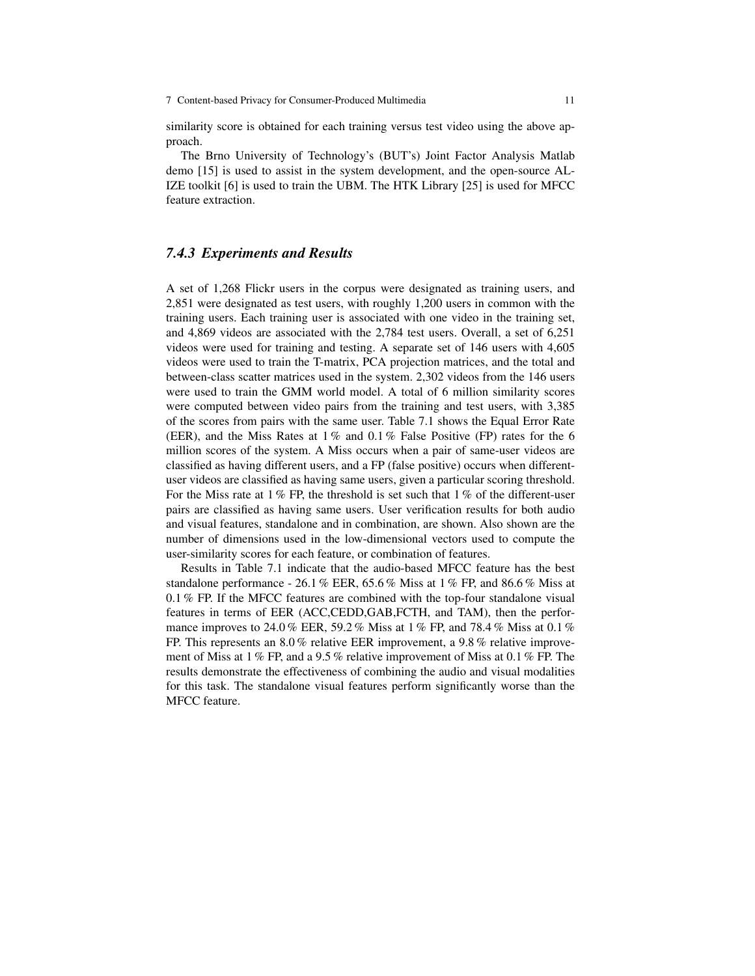similarity score is obtained for each training versus test video using the above approach.

The Brno University of Technology's (BUT's) Joint Factor Analysis Matlab demo [15] is used to assist in the system development, and the open-source AL-IZE toolkit [6] is used to train the UBM. The HTK Library [25] is used for MFCC feature extraction.

#### *7.4.3 Experiments and Results*

A set of 1,268 Flickr users in the corpus were designated as training users, and 2,851 were designated as test users, with roughly 1,200 users in common with the training users. Each training user is associated with one video in the training set, and 4,869 videos are associated with the 2,784 test users. Overall, a set of 6,251 videos were used for training and testing. A separate set of 146 users with 4,605 videos were used to train the T-matrix, PCA projection matrices, and the total and between-class scatter matrices used in the system. 2,302 videos from the 146 users were used to train the GMM world model. A total of 6 million similarity scores were computed between video pairs from the training and test users, with 3,385 of the scores from pairs with the same user. Table 7.1 shows the Equal Error Rate (EER), and the Miss Rates at 1 % and 0.1 % False Positive (FP) rates for the 6 million scores of the system. A Miss occurs when a pair of same-user videos are classified as having different users, and a FP (false positive) occurs when differentuser videos are classified as having same users, given a particular scoring threshold. For the Miss rate at 1 % FP, the threshold is set such that 1 % of the different-user pairs are classified as having same users. User verification results for both audio and visual features, standalone and in combination, are shown. Also shown are the number of dimensions used in the low-dimensional vectors used to compute the user-similarity scores for each feature, or combination of features.

Results in Table 7.1 indicate that the audio-based MFCC feature has the best standalone performance - 26.1 % EER, 65.6 % Miss at 1 % FP, and 86.6 % Miss at 0.1 % FP. If the MFCC features are combined with the top-four standalone visual features in terms of EER (ACC,CEDD,GAB,FCTH, and TAM), then the performance improves to 24.0 % EER, 59.2 % Miss at 1 % FP, and 78.4 % Miss at 0.1 % FP. This represents an 8.0 % relative EER improvement, a 9.8 % relative improvement of Miss at 1 % FP, and a 9.5 % relative improvement of Miss at 0.1 % FP. The results demonstrate the effectiveness of combining the audio and visual modalities for this task. The standalone visual features perform significantly worse than the MFCC feature.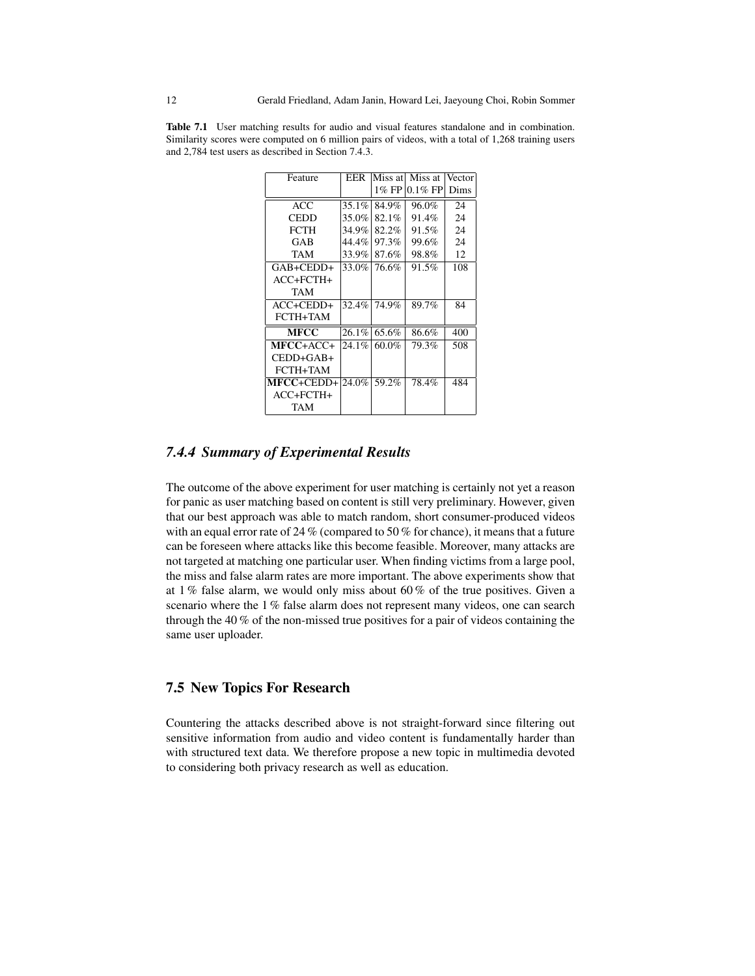| Feature        | EER   |          | Miss at Miss at | Vector |
|----------------|-------|----------|-----------------|--------|
|                |       | $1\%$ FP | $10.1\%$ FP     | Dims   |
| <b>ACC</b>     | 35.1% | 84.9%    | 96.0%           | 24     |
| <b>CEDD</b>    | 35.0% | 82.1%    | 91.4%           | 24     |
| <b>FCTH</b>    | 34.9% | 82.2%    | 91.5%           | 24     |
| GAB            | 44.4% | 97.3%    | 99.6%           | 24     |
| TAM            | 33.9% | 87.6%    | 98.8%           | 12     |
| GAB+CEDD+      | 33.0% | 76.6%    | 91.5%           | 108    |
| $ACC + FCTH +$ |       |          |                 |        |
| TAM            |       |          |                 |        |
| $ACC + CEDD +$ | 32.4% | 74.9%    | 89.7%           | 84     |
| FCTH+TAM       |       |          |                 |        |
| MFCC           | 26.1% | 65.6%    | 86.6%           | 400    |
| MFCC+ACC+      | 24.1% | 60.0%    | 79.3%           | 508    |
| CEDD+GAB+      |       |          |                 |        |
| FCTH+TAM       |       |          |                 |        |
| MFCC+CEDD+     | 24.0% | 59.2%    | 78.4%           | 484    |
| $ACC + FCTH +$ |       |          |                 |        |
| TAM            |       |          |                 |        |

Table 7.1 User matching results for audio and visual features standalone and in combination. Similarity scores were computed on 6 million pairs of videos, with a total of 1,268 training users and 2,784 test users as described in Section 7.4.3.

#### *7.4.4 Summary of Experimental Results*

The outcome of the above experiment for user matching is certainly not yet a reason for panic as user matching based on content is still very preliminary. However, given that our best approach was able to match random, short consumer-produced videos with an equal error rate of 24  $\%$  (compared to 50  $\%$  for chance), it means that a future can be foreseen where attacks like this become feasible. Moreover, many attacks are not targeted at matching one particular user. When finding victims from a large pool, the miss and false alarm rates are more important. The above experiments show that at 1 % false alarm, we would only miss about 60 % of the true positives. Given a scenario where the 1 % false alarm does not represent many videos, one can search through the 40 % of the non-missed true positives for a pair of videos containing the same user uploader.

## 7.5 New Topics For Research

Countering the attacks described above is not straight-forward since filtering out sensitive information from audio and video content is fundamentally harder than with structured text data. We therefore propose a new topic in multimedia devoted to considering both privacy research as well as education.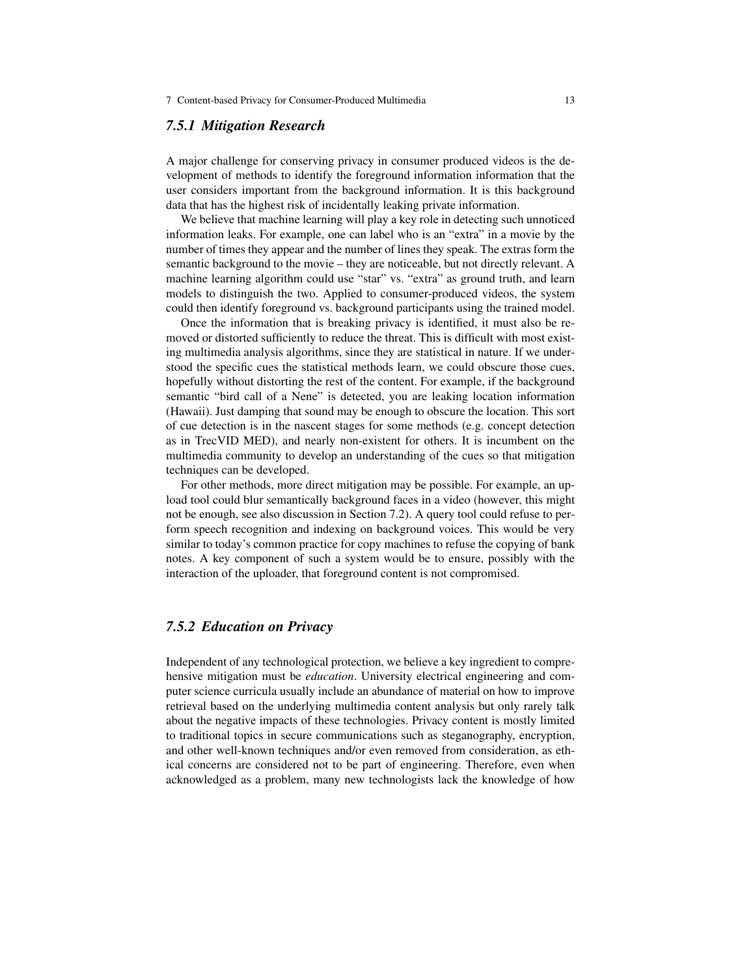#### *7.5.1 Mitigation Research*

A major challenge for conserving privacy in consumer produced videos is the development of methods to identify the foreground information information that the user considers important from the background information. It is this background data that has the highest risk of incidentally leaking private information.

We believe that machine learning will play a key role in detecting such unnoticed information leaks. For example, one can label who is an "extra" in a movie by the number of times they appear and the number of lines they speak. The extras form the semantic background to the movie – they are noticeable, but not directly relevant. A machine learning algorithm could use "star" vs. "extra" as ground truth, and learn models to distinguish the two. Applied to consumer-produced videos, the system could then identify foreground vs. background participants using the trained model.

Once the information that is breaking privacy is identified, it must also be removed or distorted sufficiently to reduce the threat. This is difficult with most existing multimedia analysis algorithms, since they are statistical in nature. If we understood the specific cues the statistical methods learn, we could obscure those cues, hopefully without distorting the rest of the content. For example, if the background semantic "bird call of a Nene" is detected, you are leaking location information (Hawaii). Just damping that sound may be enough to obscure the location. This sort of cue detection is in the nascent stages for some methods (e.g. concept detection as in TrecVID MED), and nearly non-existent for others. It is incumbent on the multimedia community to develop an understanding of the cues so that mitigation techniques can be developed.

For other methods, more direct mitigation may be possible. For example, an upload tool could blur semantically background faces in a video (however, this might not be enough, see also discussion in Section 7.2). A query tool could refuse to perform speech recognition and indexing on background voices. This would be very similar to today's common practice for copy machines to refuse the copying of bank notes. A key component of such a system would be to ensure, possibly with the interaction of the uploader, that foreground content is not compromised.

#### *7.5.2 Education on Privacy*

Independent of any technological protection, we believe a key ingredient to comprehensive mitigation must be *education*. University electrical engineering and computer science curricula usually include an abundance of material on how to improve retrieval based on the underlying multimedia content analysis but only rarely talk about the negative impacts of these technologies. Privacy content is mostly limited to traditional topics in secure communications such as steganography, encryption, and other well-known techniques and/or even removed from consideration, as ethical concerns are considered not to be part of engineering. Therefore, even when acknowledged as a problem, many new technologists lack the knowledge of how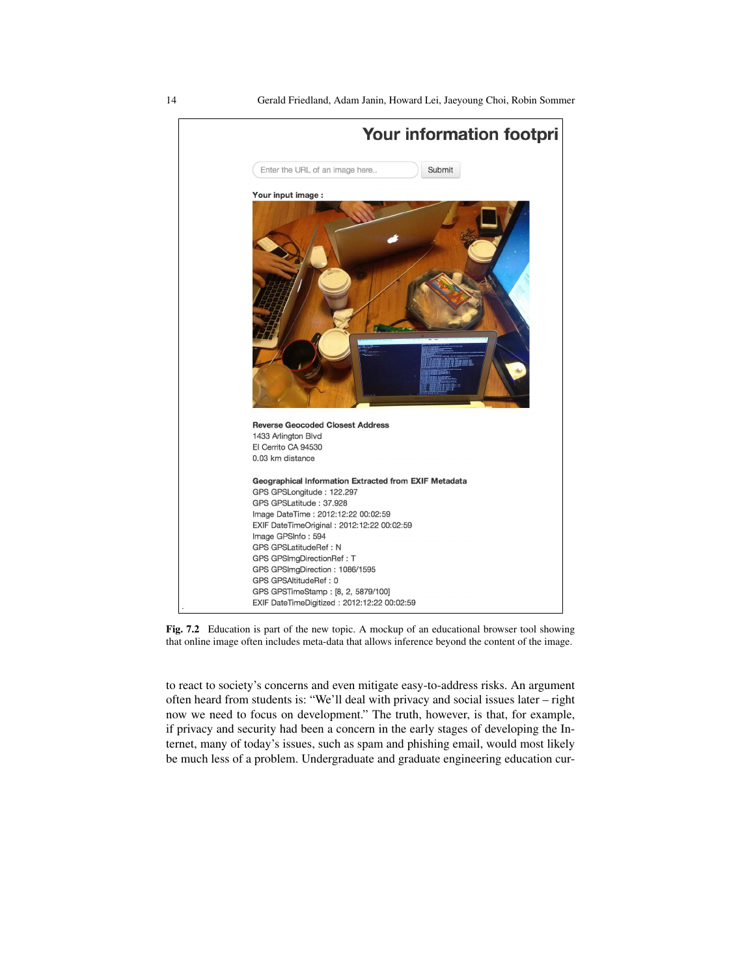

Fig. 7.2 Education is part of the new topic. A mockup of an educational browser tool showing that online image often includes meta-data that allows inference beyond the content of the image.

to react to society's concerns and even mitigate easy-to-address risks. An argument often heard from students is: "We'll deal with privacy and social issues later – right now we need to focus on development." The truth, however, is that, for example, if privacy and security had been a concern in the early stages of developing the Internet, many of today's issues, such as spam and phishing email, would most likely be much less of a problem. Undergraduate and graduate engineering education cur-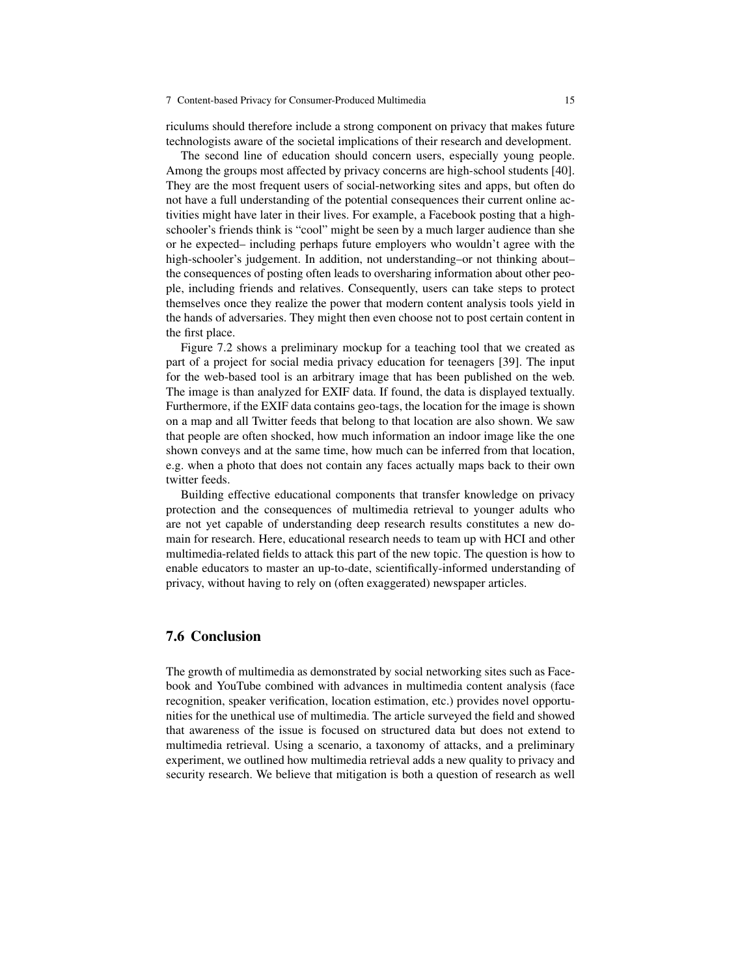riculums should therefore include a strong component on privacy that makes future technologists aware of the societal implications of their research and development.

The second line of education should concern users, especially young people. Among the groups most affected by privacy concerns are high-school students [40]. They are the most frequent users of social-networking sites and apps, but often do not have a full understanding of the potential consequences their current online activities might have later in their lives. For example, a Facebook posting that a highschooler's friends think is "cool" might be seen by a much larger audience than she or he expected– including perhaps future employers who wouldn't agree with the high-schooler's judgement. In addition, not understanding–or not thinking about– the consequences of posting often leads to oversharing information about other people, including friends and relatives. Consequently, users can take steps to protect themselves once they realize the power that modern content analysis tools yield in the hands of adversaries. They might then even choose not to post certain content in the first place.

Figure 7.2 shows a preliminary mockup for a teaching tool that we created as part of a project for social media privacy education for teenagers [39]. The input for the web-based tool is an arbitrary image that has been published on the web. The image is than analyzed for EXIF data. If found, the data is displayed textually. Furthermore, if the EXIF data contains geo-tags, the location for the image is shown on a map and all Twitter feeds that belong to that location are also shown. We saw that people are often shocked, how much information an indoor image like the one shown conveys and at the same time, how much can be inferred from that location, e.g. when a photo that does not contain any faces actually maps back to their own twitter feeds.

Building effective educational components that transfer knowledge on privacy protection and the consequences of multimedia retrieval to younger adults who are not yet capable of understanding deep research results constitutes a new domain for research. Here, educational research needs to team up with HCI and other multimedia-related fields to attack this part of the new topic. The question is how to enable educators to master an up-to-date, scientifically-informed understanding of privacy, without having to rely on (often exaggerated) newspaper articles.

### 7.6 Conclusion

The growth of multimedia as demonstrated by social networking sites such as Facebook and YouTube combined with advances in multimedia content analysis (face recognition, speaker verification, location estimation, etc.) provides novel opportunities for the unethical use of multimedia. The article surveyed the field and showed that awareness of the issue is focused on structured data but does not extend to multimedia retrieval. Using a scenario, a taxonomy of attacks, and a preliminary experiment, we outlined how multimedia retrieval adds a new quality to privacy and security research. We believe that mitigation is both a question of research as well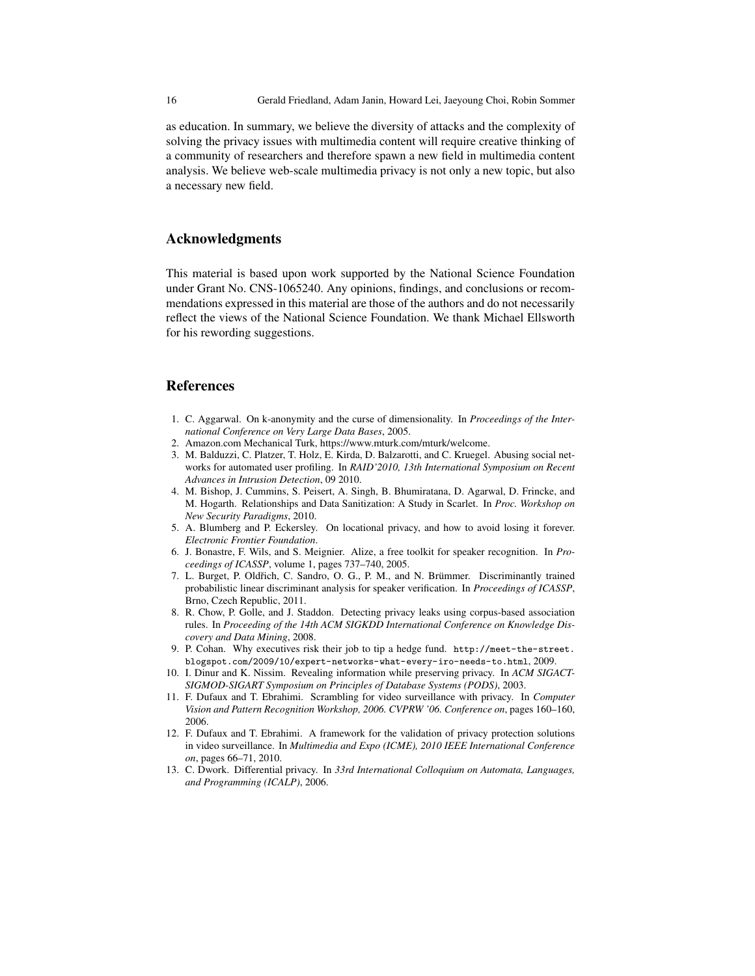as education. In summary, we believe the diversity of attacks and the complexity of solving the privacy issues with multimedia content will require creative thinking of a community of researchers and therefore spawn a new field in multimedia content analysis. We believe web-scale multimedia privacy is not only a new topic, but also a necessary new field.

#### Acknowledgments

This material is based upon work supported by the National Science Foundation under Grant No. CNS-1065240. Any opinions, findings, and conclusions or recommendations expressed in this material are those of the authors and do not necessarily reflect the views of the National Science Foundation. We thank Michael Ellsworth for his rewording suggestions.

## References

- 1. C. Aggarwal. On k-anonymity and the curse of dimensionality. In *Proceedings of the International Conference on Very Large Data Bases*, 2005.
- 2. Amazon.com Mechanical Turk, https://www.mturk.com/mturk/welcome.
- 3. M. Balduzzi, C. Platzer, T. Holz, E. Kirda, D. Balzarotti, and C. Kruegel. Abusing social networks for automated user profiling. In *RAID'2010, 13th International Symposium on Recent Advances in Intrusion Detection*, 09 2010.
- 4. M. Bishop, J. Cummins, S. Peisert, A. Singh, B. Bhumiratana, D. Agarwal, D. Frincke, and M. Hogarth. Relationships and Data Sanitization: A Study in Scarlet. In *Proc. Workshop on New Security Paradigms*, 2010.
- 5. A. Blumberg and P. Eckersley. On locational privacy, and how to avoid losing it forever. *Electronic Frontier Foundation*.
- 6. J. Bonastre, F. Wils, and S. Meignier. Alize, a free toolkit for speaker recognition. In *Proceedings of ICASSP*, volume 1, pages 737–740, 2005.
- 7. L. Burget, P. Oldřich, C. Sandro, O. G., P. M., and N. Brümmer. Discriminantly trained probabilistic linear discriminant analysis for speaker verification. In *Proceedings of ICASSP*, Brno, Czech Republic, 2011.
- 8. R. Chow, P. Golle, and J. Staddon. Detecting privacy leaks using corpus-based association rules. In *Proceeding of the 14th ACM SIGKDD International Conference on Knowledge Discovery and Data Mining*, 2008.
- 9. P. Cohan. Why executives risk their job to tip a hedge fund. http://meet-the-street. blogspot.com/2009/10/expert-networks-what-every-iro-needs-to.html, 2009.
- 10. I. Dinur and K. Nissim. Revealing information while preserving privacy. In *ACM SIGACT-SIGMOD-SIGART Symposium on Principles of Database Systems (PODS)*, 2003.
- 11. F. Dufaux and T. Ebrahimi. Scrambling for video surveillance with privacy. In *Computer Vision and Pattern Recognition Workshop, 2006. CVPRW '06. Conference on*, pages 160–160, 2006.
- 12. F. Dufaux and T. Ebrahimi. A framework for the validation of privacy protection solutions in video surveillance. In *Multimedia and Expo (ICME), 2010 IEEE International Conference on*, pages 66–71, 2010.
- 13. C. Dwork. Differential privacy. In *33rd International Colloquium on Automata, Languages, and Programming (ICALP)*, 2006.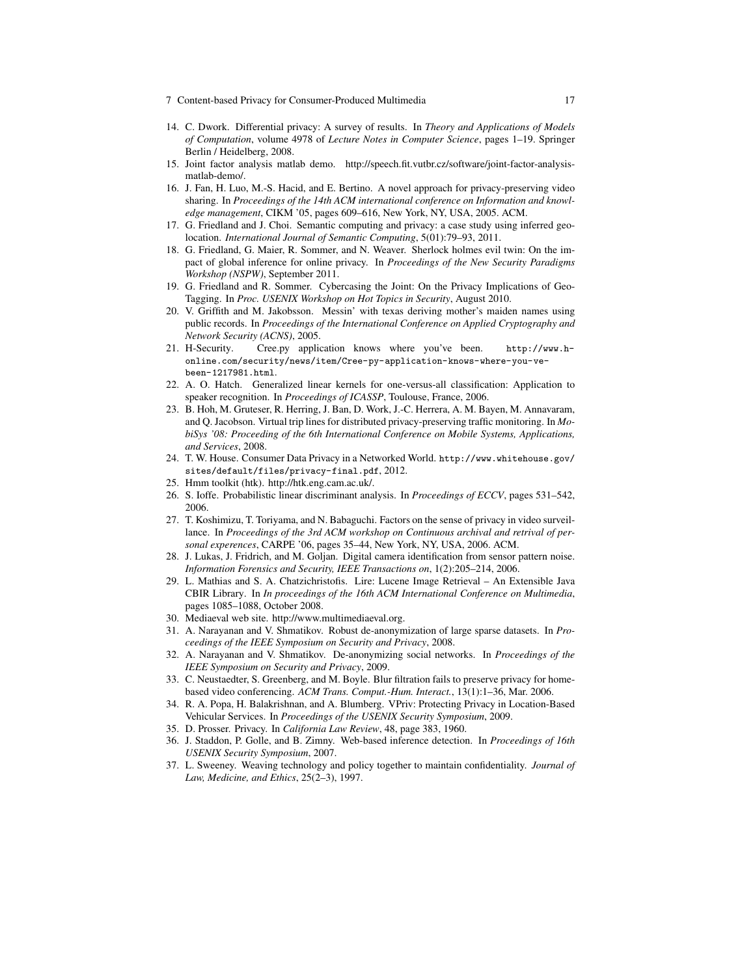- 7 Content-based Privacy for Consumer-Produced Multimedia 17
- 14. C. Dwork. Differential privacy: A survey of results. In *Theory and Applications of Models of Computation*, volume 4978 of *Lecture Notes in Computer Science*, pages 1–19. Springer Berlin / Heidelberg, 2008.
- 15. Joint factor analysis matlab demo. http://speech.fit.vutbr.cz/software/joint-factor-analysismatlab-demo/.
- 16. J. Fan, H. Luo, M.-S. Hacid, and E. Bertino. A novel approach for privacy-preserving video sharing. In *Proceedings of the 14th ACM international conference on Information and knowledge management*, CIKM '05, pages 609–616, New York, NY, USA, 2005. ACM.
- 17. G. Friedland and J. Choi. Semantic computing and privacy: a case study using inferred geolocation. *International Journal of Semantic Computing*, 5(01):79–93, 2011.
- 18. G. Friedland, G. Maier, R. Sommer, and N. Weaver. Sherlock holmes evil twin: On the impact of global inference for online privacy. In *Proceedings of the New Security Paradigms Workshop (NSPW)*, September 2011.
- 19. G. Friedland and R. Sommer. Cybercasing the Joint: On the Privacy Implications of Geo-Tagging. In *Proc. USENIX Workshop on Hot Topics in Security*, August 2010.
- 20. V. Griffith and M. Jakobsson. Messin' with texas deriving mother's maiden names using public records. In *Proceedings of the International Conference on Applied Cryptography and Network Security (ACNS)*, 2005.
- 21. H-Security. Cree.py application knows where you've been. http://www.honline.com/security/news/item/Cree-py-application-knows-where-you-vebeen-1217981.html.
- 22. A. O. Hatch. Generalized linear kernels for one-versus-all classification: Application to speaker recognition. In *Proceedings of ICASSP*, Toulouse, France, 2006.
- 23. B. Hoh, M. Gruteser, R. Herring, J. Ban, D. Work, J.-C. Herrera, A. M. Bayen, M. Annavaram, and Q. Jacobson. Virtual trip lines for distributed privacy-preserving traffic monitoring. In *MobiSys '08: Proceeding of the 6th International Conference on Mobile Systems, Applications, and Services*, 2008.
- 24. T. W. House. Consumer Data Privacy in a Networked World. http://www.whitehouse.gov/ sites/default/files/privacy-final.pdf, 2012.
- 25. Hmm toolkit (htk). http://htk.eng.cam.ac.uk/.
- 26. S. Ioffe. Probabilistic linear discriminant analysis. In *Proceedings of ECCV*, pages 531–542, 2006.
- 27. T. Koshimizu, T. Toriyama, and N. Babaguchi. Factors on the sense of privacy in video surveillance. In *Proceedings of the 3rd ACM workshop on Continuous archival and retrival of personal experences*, CARPE '06, pages 35–44, New York, NY, USA, 2006. ACM.
- 28. J. Lukas, J. Fridrich, and M. Goljan. Digital camera identification from sensor pattern noise. *Information Forensics and Security, IEEE Transactions on*, 1(2):205–214, 2006.
- 29. L. Mathias and S. A. Chatzichristofis. Lire: Lucene Image Retrieval An Extensible Java CBIR Library. In *In proceedings of the 16th ACM International Conference on Multimedia*, pages 1085–1088, October 2008.
- 30. Mediaeval web site. http://www.multimediaeval.org.
- 31. A. Narayanan and V. Shmatikov. Robust de-anonymization of large sparse datasets. In *Proceedings of the IEEE Symposium on Security and Privacy*, 2008.
- 32. A. Narayanan and V. Shmatikov. De-anonymizing social networks. In *Proceedings of the IEEE Symposium on Security and Privacy*, 2009.
- 33. C. Neustaedter, S. Greenberg, and M. Boyle. Blur filtration fails to preserve privacy for homebased video conferencing. *ACM Trans. Comput.-Hum. Interact.*, 13(1):1–36, Mar. 2006.
- 34. R. A. Popa, H. Balakrishnan, and A. Blumberg. VPriv: Protecting Privacy in Location-Based Vehicular Services. In *Proceedings of the USENIX Security Symposium*, 2009.
- 35. D. Prosser. Privacy. In *California Law Review*, 48, page 383, 1960.
- 36. J. Staddon, P. Golle, and B. Zimny. Web-based inference detection. In *Proceedings of 16th USENIX Security Symposium*, 2007.
- 37. L. Sweeney. Weaving technology and policy together to maintain confidentiality. *Journal of Law, Medicine, and Ethics*, 25(2–3), 1997.